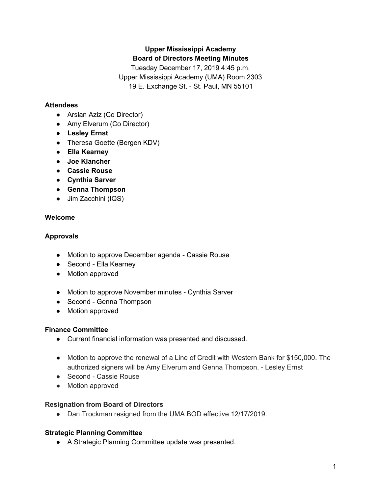# **Upper Mississippi Academy Board of Directors Meeting Minutes**

Tuesday December 17, 2019 4:45 p.m. Upper Mississippi Academy (UMA) Room 2303 19 E. Exchange St. - St. Paul, MN 55101

#### **Attendees**

- Arslan Aziz (Co Director)
- Amy Elverum (Co Director)
- **● Lesley Ernst**
- Theresa Goette (Bergen KDV)
- **● Ella Kearney**
- **● Joe Klancher**
- **● Cassie Rouse**
- **● Cynthia Sarver**
- **● Genna Thompson**
- Jim Zacchini (IQS)

## **Welcome**

## **Approvals**

- Motion to approve December agenda Cassie Rouse
- Second Ella Kearney
- Motion approved
- Motion to approve November minutes Cynthia Sarver
- Second Genna Thompson
- Motion approved

## **Finance Committee**

- Current financial information was presented and discussed.
- Motion to approve the renewal of a Line of Credit with Western Bank for \$150,000. The authorized signers will be Amy Elverum and Genna Thompson. - Lesley Ernst
- Second Cassie Rouse
- Motion approved

## **Resignation from Board of Directors**

● Dan Trockman resigned from the UMA BOD effective 12/17/2019.

## **Strategic Planning Committee**

● A Strategic Planning Committee update was presented.